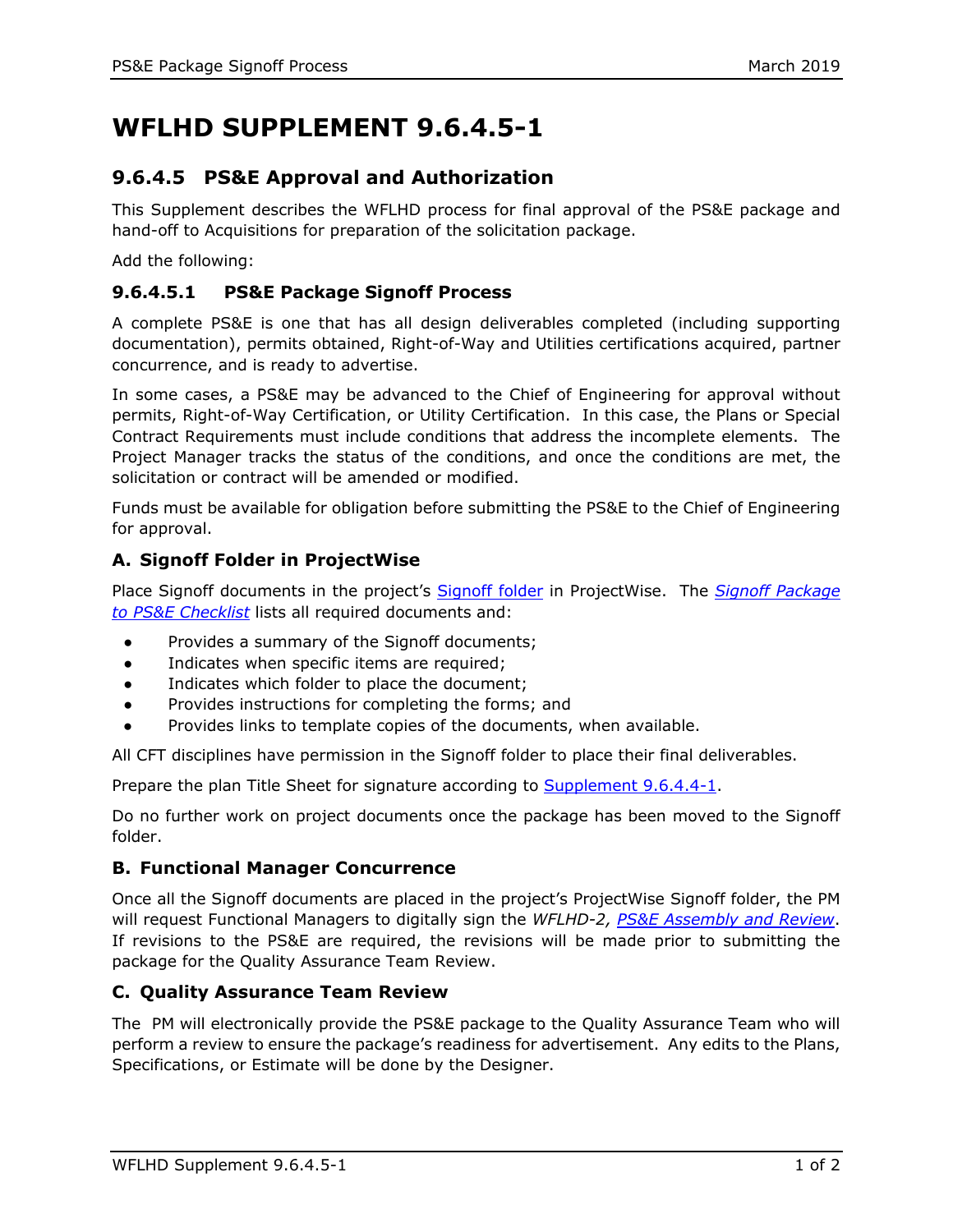# **WFLHD SUPPLEMENT 9.6.4.5-1**

# **9.6.4.5 PS&E Approval and Authorization**

This Supplement describes the WFLHD process for final approval of the PS&E package and hand-off to Acquisitions for preparation of the solicitation package.

Add the following:

## **9.6.4.5.1 PS&E Package Signoff Process**

A complete PS&E is one that has all design deliverables completed (including supporting documentation), permits obtained, Right-of-Way and Utilities certifications acquired, partner concurrence, and is ready to advertise.

In some cases, a PS&E may be advanced to the Chief of Engineering for approval without permits, Right-of-Way Certification, or Utility Certification. In this case, the Plans or Special Contract Requirements must include conditions that address the incomplete elements. The Project Manager tracks the status of the conditions, and once the conditions are met, the solicitation or contract will be amended or modified.

Funds must be available for obligation before submitting the PS&E to the Chief of Engineering for approval.

### **A. Signoff Folder in ProjectWise**

Place Signoff documents in the project's [Signoff folder](https://flh.fhwa.dot.gov/resources/design/tools/wfl/structure/signoff.htm) in ProjectWise. The *[Signoff Package](https://flh.fhwa.dot.gov/resources/design/forms/wfl/Signoff-Checklist.docx)  [to PS&E Checklist](https://flh.fhwa.dot.gov/resources/design/forms/wfl/Signoff-Checklist.docx)* lists all required documents and:

- Provides a summary of the Signoff documents;
- Indicates when specific items are required;
- Indicates which folder to place the document;
- Provides instructions for completing the forms; and
- Provides links to template copies of the documents, when available.

All CFT disciplines have permission in the Signoff folder to place their final deliverables.

Prepare the plan Title Sheet for signature according to [Supplement 9.6.4.4-1.](https://flh.fhwa.dot.gov/resources/design/pddm/wfl/ch09/9.6.4.4-1.pdf)

Do no further work on project documents once the package has been moved to the Signoff folder.

#### **B. Functional Manager Concurrence**

Once all the Signoff documents are placed in the project's ProjectWise Signoff folder, the PM will request Functional Managers to digitally sign the *WFLHD-2, [PS&E Assembly and Review](https://flh.fhwa.dot.gov/resources/design/forms/wfl/WFLHD-2.pdf)*. If revisions to the PS&E are required, the revisions will be made prior to submitting the package for the Quality Assurance Team Review.

#### **C. Quality Assurance Team Review**

The PM will electronically provide the PS&E package to the Quality Assurance Team who will perform a review to ensure the package's readiness for advertisement. Any edits to the Plans, Specifications, or Estimate will be done by the Designer.